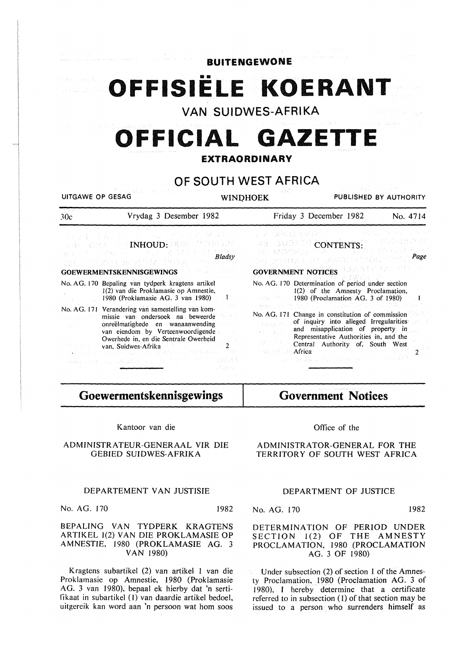**BUITENGEWONE** 

OFFISIËLE KOERANT

**VAN SUIDWES-AFRIKA** 

# **OFFICIAL GAZETTE**

# **EXTRAORDINARY**

# **OF SOUTH WEST AFRICA**

UITGAWE OP GESAG WINDHOEK PUBLISHED BY AUTHORITY

| 30c                                                                                                                                                                                                                                                                                                                                                                                                                                                                                                                                                                                                                                                                                                                                                                                                            | Vrydag 3 Desember 1982 | Friday 3 December 1982<br>No. 4714                                                                                                                                                                                                                                                                                                                                                                                                                                                                                                                                                                                        |  |  |
|----------------------------------------------------------------------------------------------------------------------------------------------------------------------------------------------------------------------------------------------------------------------------------------------------------------------------------------------------------------------------------------------------------------------------------------------------------------------------------------------------------------------------------------------------------------------------------------------------------------------------------------------------------------------------------------------------------------------------------------------------------------------------------------------------------------|------------------------|---------------------------------------------------------------------------------------------------------------------------------------------------------------------------------------------------------------------------------------------------------------------------------------------------------------------------------------------------------------------------------------------------------------------------------------------------------------------------------------------------------------------------------------------------------------------------------------------------------------------------|--|--|
| 29. 牙羹,若者。 经公司公司 经一项信息 经营养保护人员<br>- GRA EFF <b>INHOUD:</b> EXECUTIVE 1.37<br><b>GOEWERMENTSKENNISGEWINGS AND RESIDENCE</b>                                                                                                                                                                                                                                                                                                                                                                                                                                                                                                                                                                                                                                                                                     |                        | 经不同基础 经通货车 经公司 医三甲基甲基甲基甲基<br>ARE DUCKED CONTENTS: THE PRESENT<br>LA ROSEE LAP ROMAL TERM ARTHUM <mark>Page</mark> .<br><b>GOVERNMENT NOTICES</b> HUAR EVIDENT PRO                                                                                                                                                                                                                                                                                                                                                                                                                                                         |  |  |
| No. AG. 170 Bepaling van tydperk kragtens artikel<br>1(2) van die Proklamasie op Amnestie,<br>1980 (Proklamasie AG. 3 van 1980)<br>No. AG. 171 Verandering van samestelling van kom-<br>de estas<br>missie van ondersoek na beweerde<br>onreëlmatighede en wanaanwending<br>$\sigma$ (Fig. ) and $\sigma$<br>$\mathcal{L}(\mathcal{L}_1)$ and $\mathcal{L}_2$<br>van eiendom by Verteenwoordigende<br><b>Contractor</b><br>Owerhede in, en die Sentrale Owerheid<br>van, Suidwes-Afrika<br>$\mathcal{L}^{\mathcal{L}}(\mathbb{R}^{n},\mathbb{R}^{n})=\mathcal{L}^{\mathcal{L}}(\mathcal{W}^{n},\mathbb{R}^{n})=\overline{\mathcal{L}^{\mathcal{L}}(\mathbb{R}^{n},\mathbb{R}^{n})}=\mathcal{L}^{\mathcal{M}}(\mathbb{R}^{n},\mathbb{R}^{n}).$<br>$\alpha\alpha\alpha$ and a manifold and a family with smalled |                        | No. AG. 170 Determination of period under section<br>1(2) of the Amnesty Proclamation,<br>$\sim$ 1980 (Proclamation AG. 3 of 1980)<br>형병 임료 회사를 보냈다. 그리고 그 그 작품의 문제는 기분이 가족이다.<br>No. AG. 171 Change in constitution of commission<br>of inquiry into alleged Irregularities<br>in a surgiand.<br>and misapplication of property in<br>$\label{eq:2.1} \left\langle \hat{\sigma}^{(p)} \right\rangle = \left\{ \hat{\sigma}^{(p)}_{\text{eff}} \right\} \, .$<br>Representative Authorities in, and the<br><b>Example 21 Central Authority of, South West</b><br>state and the EH as the State and Constitution of the HO |  |  |

**Goewermentskennisgewings** 

Kantoor van die

## ADMINISTRATEUR-GENERAAL VIR DIE GEBIED SUIDWES-AFRIKA

# TERRITORY OF SOUTH WEST AFRICA

**Government Notices** 

Office of the

ADMINISTRATOR-GENERAL FOR THE

## DEPARTEMENT VAN JUSTISIE

No. AG. 170 1982

BEPALING VAN TYDPERK KRAGTENS ARTIKEL 1(2) VAN DIE PROKLAMASIE OP AMNESTIE. 1980 (PROKLAMASIE AG. 3 VAN 1980)

Kragtens subartikel (2) van artikel I van die Proklamasie op Amnestie, 1980 (Proklamasie AG. 3 van 1980), bepaal ek hierby dat 'n sertifikaat in subartikel (I) van daardie artikel bedoel, uitgercik kan word aan 'n persoon wat hom soos

DEPARTMENT OF JUSTICE

No. AG. 170 1982

DETERMINATION OF PERIOD UNDER SECTION 1(2) OF THE AMNESTY PROCLAMATION, 1980 (PROCLAMATION AG. 3 OF 1980)

Under subsection (2) of section 1 of the Amnesty Proclamation, 1980 (Proclamation AG. 3 of 1980). I hereby determine that a certificate referred to in subsection (I) of that section may be issued to a person who surrenders himself as